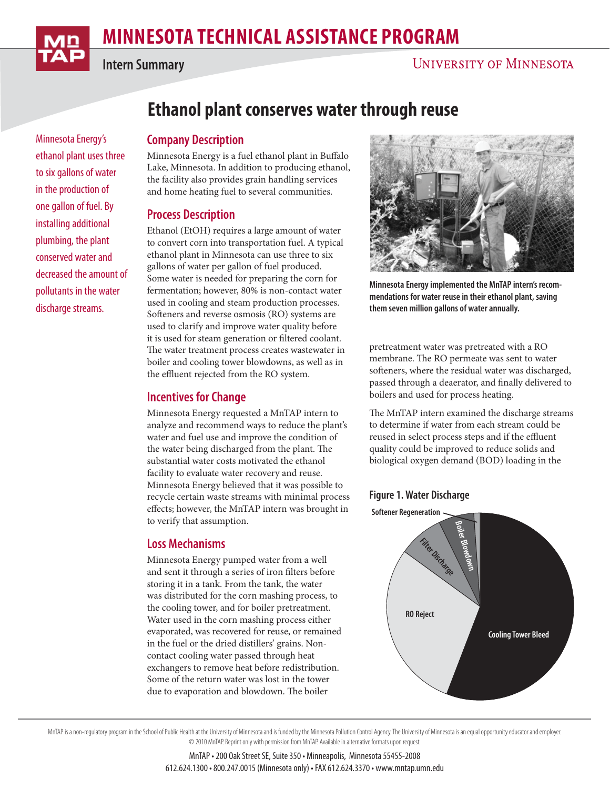Minnesota Energy's ethanol plant uses three to six gallons of water in the production of one gallon of fuel. By installing additional plumbing, the plant conserved water and decreased the amount of pollutants in the water discharge streams.

**Intern Summary**

# **Ethanol plant conserves water through reuse**

# **Company Description**

Minnesota Energy is a fuel ethanol plant in Buffalo Lake, Minnesota. In addition to producing ethanol, the facility also provides grain handling services and home heating fuel to several communities.

# **Process Description**

Ethanol (EtOH) requires a large amount of water to convert corn into transportation fuel. A typical ethanol plant in Minnesota can use three to six gallons of water per gallon of fuel produced. Some water is needed for preparing the corn for fermentation; however, 80% is non-contact water used in cooling and steam production processes. Softeners and reverse osmosis (RO) systems are used to clarify and improve water quality before it is used for steam generation or filtered coolant. The water treatment process creates wastewater in boiler and cooling tower blowdowns, as well as in the effluent rejected from the RO system.

# **Incentives for Change**

Minnesota Energy requested a MnTAP intern to analyze and recommend ways to reduce the plant's water and fuel use and improve the condition of the water being discharged from the plant. The substantial water costs motivated the ethanol facility to evaluate water recovery and reuse. Minnesota Energy believed that it was possible to recycle certain waste streams with minimal process effects; however, the MnTAP intern was brought in to verify that assumption.

# **Loss Mechanisms**

Minnesota Energy pumped water from a well and sent it through a series of iron filters before storing it in a tank. From the tank, the water was distributed for the corn mashing process, to the cooling tower, and for boiler pretreatment. Water used in the corn mashing process either evaporated, was recovered for reuse, or remained in the fuel or the dried distillers' grains. Noncontact cooling water passed through heat exchangers to remove heat before redistribution. Some of the return water was lost in the tower due to evaporation and blowdown. The boiler



**Minnesota Energy implemented the MnTAP intern's recommendations for water reuse in their ethanol plant, saving them seven million gallons of water annually.**

pretreatment water was pretreated with a RO membrane. The RO permeate was sent to water softeners, where the residual water was discharged, passed through a deaerator, and finally delivered to boilers and used for process heating.

The MnTAP intern examined the discharge streams to determine if water from each stream could be reused in select process steps and if the effluent quality could be improved to reduce solids and biological oxygen demand (BOD) loading in the

# **Figure 1. Water Discharge**



MnTAP is a non-regulatory program in the School of Public Health at the University of Minnesota and is funded by the Minnesota Pollution Control Agency. The University of Minnesota is an equal opportunity educator and empl © 2010 MnTAP. Reprint only with permission from MnTAP. Available in alternative formats upon request.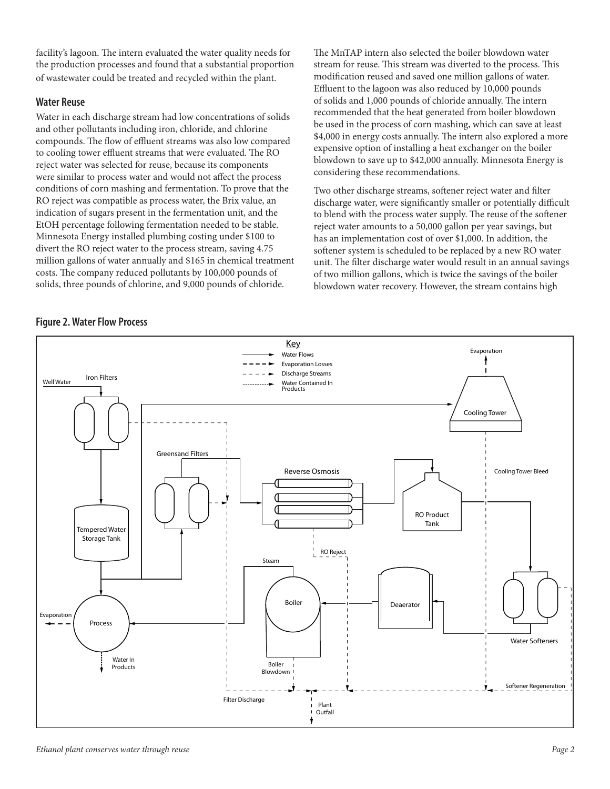facility's lagoon. The intern evaluated the water quality needs for the production processes and found that a substantial proportion of wastewater could be treated and recycled within the plant.

#### **Water Reuse**

Water in each discharge stream had low concentrations of solids and other pollutants including iron, chloride, and chlorine compounds. The flow of effluent streams was also low compared to cooling tower effluent streams that were evaluated. The RO reject water was selected for reuse, because its components were similar to process water and would not affect the process conditions of corn mashing and fermentation. To prove that the RO reject was compatible as process water, the Brix value, an indication of sugars present in the fermentation unit, and the EtOH percentage following fermentation needed to be stable. Minnesota Energy installed plumbing costing under \$100 to divert the RO reject water to the process stream, saving 4.75 million gallons of water annually and \$165 in chemical treatment costs. The company reduced pollutants by 100,000 pounds of solids, three pounds of chlorine, and 9,000 pounds of chloride.

The MnTAP intern also selected the boiler blowdown water stream for reuse. This stream was diverted to the process. This modification reused and saved one million gallons of water. Effluent to the lagoon was also reduced by 10,000 pounds of solids and 1,000 pounds of chloride annually. The intern recommended that the heat generated from boiler blowdown be used in the process of corn mashing, which can save at least \$4,000 in energy costs annually. The intern also explored a more expensive option of installing a heat exchanger on the boiler blowdown to save up to \$42,000 annually. Minnesota Energy is considering these recommendations.

Two other discharge streams, softener reject water and filter discharge water, were significantly smaller or potentially difficult to blend with the process water supply. The reuse of the softener reject water amounts to a 50,000 gallon per year savings, but has an implementation cost of over \$1,000. In addition, the softener system is scheduled to be replaced by a new RO water unit. The filter discharge water would result in an annual savings of two million gallons, which is twice the savings of the boiler blowdown water recovery. However, the stream contains high

#### **Figure 2. Water Flow Process**